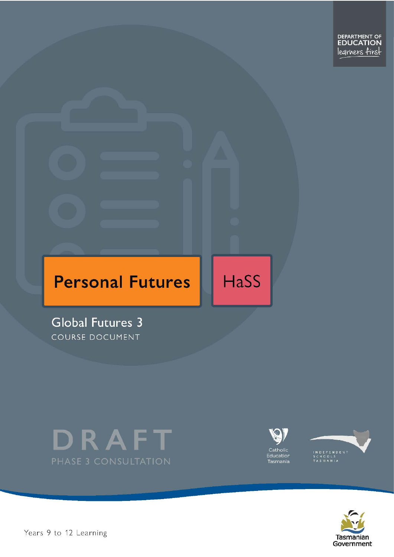

# **Personal Futures**

HaSS

**Global Futures 3** COURSE DOCUMENT









Years 9 to 12 Learning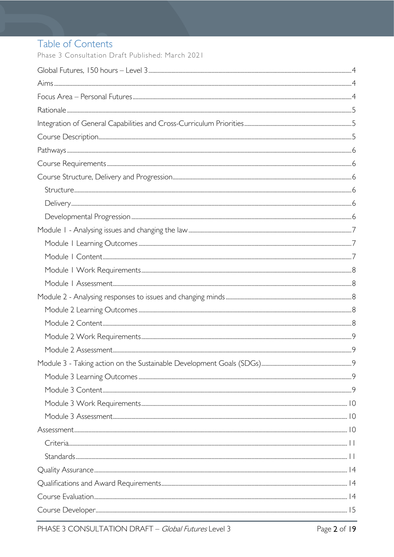# Table of Contents

Phase 3 Consultation Draft Published: March 2021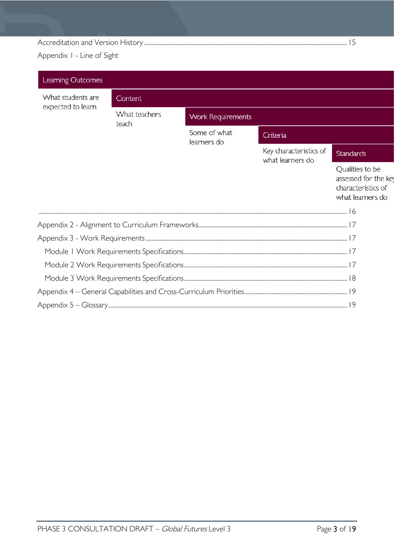### 

Appendix I - Line of Sight

| Learning Outcomes |                        |                             |                                            |                                                                                   |  |  |  |
|-------------------|------------------------|-----------------------------|--------------------------------------------|-----------------------------------------------------------------------------------|--|--|--|
| What students are | Content                |                             |                                            |                                                                                   |  |  |  |
| expected to learn | What teachers<br>teach | <b>Work Requirements</b>    |                                            |                                                                                   |  |  |  |
|                   |                        | Some of what<br>learners do | Criteria                                   |                                                                                   |  |  |  |
|                   |                        |                             | Key characteristics of<br>what learners do | <b>Standards</b>                                                                  |  |  |  |
|                   |                        |                             |                                            | Qualities to be<br>assessed for the key<br>characteristics of<br>what learners do |  |  |  |
|                   |                        |                             |                                            |                                                                                   |  |  |  |
|                   |                        |                             |                                            |                                                                                   |  |  |  |
|                   |                        |                             |                                            |                                                                                   |  |  |  |
|                   |                        |                             |                                            |                                                                                   |  |  |  |
|                   |                        |                             |                                            |                                                                                   |  |  |  |
|                   |                        |                             |                                            |                                                                                   |  |  |  |
|                   |                        |                             |                                            |                                                                                   |  |  |  |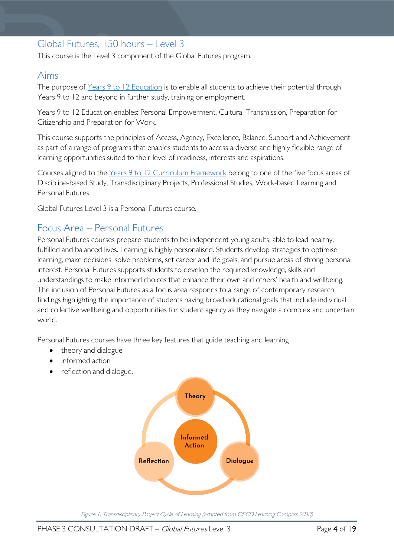# <span id="page-3-0"></span>Global Futures, 150 hours – Level 3

This course is the Level 3 component of the Global Futures program.

### <span id="page-3-1"></span>Aims

The purpose of Years 9 to 12 [Education](https://publicdocumentcentre.education.tas.gov.au/library/Shared%20Documents/Years-9-to-12-Education-Framework.pdf) is to enable all students to achieve their potential through Years 9 to 12 and beyond in further study, training or employment.

Years 9 to 12 Education enables: Personal Empowerment, Cultural Transmission, Preparation for Citizenship and Preparation for Work.

This course supports the principles of Access, Agency, Excellence, Balance, Support and Achievement as part of a range of programs that enables students to access a diverse and highly flexible range of learning opportunities suited to their level of readiness, interests and aspirations.

Courses aligned to the Years 9 to 12 Curriculum [Framework](https://publicdocumentcentre.education.tas.gov.au/library/Shared%20Documents/Education%209-12%20Frameworks%20A3%20WEB%20POSTER.pdf) belong to one of the five focus areas of Discipline-based Study, Transdisciplinary Projects, Professional Studies, Work-based Learning and Personal Futures.

Global Futures Level 3 is a Personal Futures course.

### <span id="page-3-2"></span>Focus Area – Personal Futures

Personal Futures courses prepare students to be independent young adults, able to lead healthy, fulfilled and balanced lives. Learning is highly personalised. Students develop strategies to optimise learning, make decisions, solve problems, set career and life goals, and pursue areas of strong personal interest. Personal Futures supports students to develop the required knowledge, skills and understandings to make informed choices that enhance their own and others' health and wellbeing. The inclusion of Personal Futures as a focus area responds to a range of contemporary research findings highlighting the importance of students having broad educational goals that include individual and collective wellbeing and opportunities for student agency as they navigate a complex and uncertain world.

Personal Futures courses have three key features that guide teaching and learning

- theory and dialogue
- informed action
- reflection and dialogue.



Figure 1: Transdisciplinary Project Cycle of Learning (adapted from OECD Learning Compass 2030)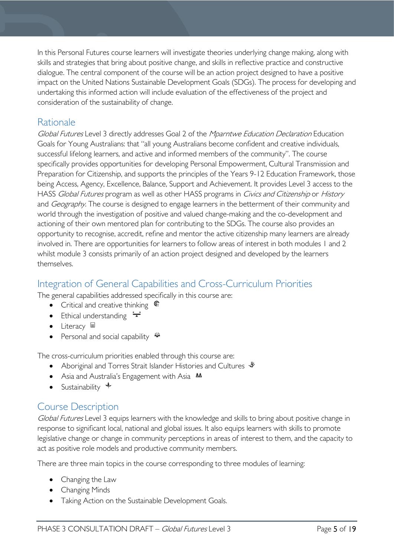In this Personal Futures course learners will investigate theories underlying change making, along with skills and strategies that bring about positive change, and skills in reflective practice and constructive dialogue. The central component of the course will be an action project designed to have a positive impact on the United Nations Sustainable Development Goals (SDGs). The process for developing and undertaking this informed action will include evaluation of the effectiveness of the project and consideration of the sustainability of change.

# <span id="page-4-0"></span>Rationale

Global Futures Level 3 directly addresses Goal 2 of the Mparntwe Education Declaration Education Goals for Young Australians: that "all young Australians become confident and creative individuals, successful lifelong learners, and active and informed members of the community". The course specifically provides opportunities for developing Personal Empowerment, Cultural Transmission and Preparation for Citizenship, and supports the principles of the Years 9-12 Education Framework, those being Access, Agency, Excellence, Balance, Support and Achievement. It provides Level 3 access to the HASS Global Futures program as well as other HASS programs in Civics and Citizenship or History and *Geography*. The course is designed to engage learners in the betterment of their community and world through the investigation of positive and valued change-making and the co-development and actioning of their own mentored plan for contributing to the SDGs. The course also provides an opportunity to recognise, accredit, refine and mentor the active citizenship many learners are already involved in. There are opportunities for learners to follow areas of interest in both modules 1 and 2 whilst module 3 consists primarily of an action project designed and developed by the learners themselves.

# <span id="page-4-1"></span>Integration of General Capabilities and Cross-Curriculum Priorities

The general capabilities addressed specifically in this course are:

- Critical and creative thinking  $\epsilon$
- Ethical understanding  $\div$
- Literacy  $\blacksquare$
- Personal and social capability  $\ddot{\ddot{}}$

The cross-curriculum priorities enabled through this course are:

- Aboriginal and Torres Strait Islander Histories and Cultures  $\mathscr W$
- Asia and Australia's Engagement with Asia **AA**
- Sustainability  $\triangleleft$

# <span id="page-4-2"></span>Course Description

Global Futures Level 3 equips learners with the knowledge and skills to bring about positive change in response to significant local, national and global issues. It also equips learners with skills to promote legislative change or change in community perceptions in areas of interest to them, and the capacity to act as positive role models and productive community members.

There are three main topics in the course corresponding to three modules of learning:

- Changing the Law
- Changing Minds
- Taking Action on the Sustainable Development Goals.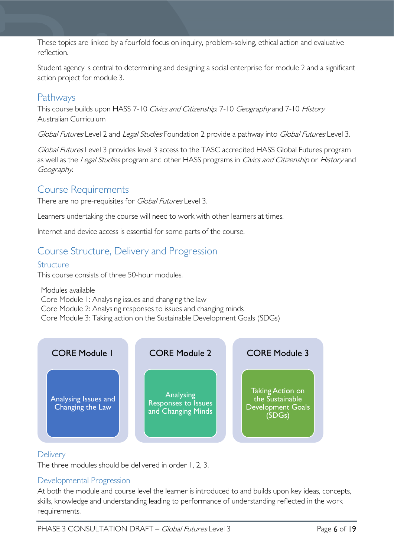These topics are linked by a fourfold focus on inquiry, problem-solving, ethical action and evaluative reflection.

Student agency is central to determining and designing a social enterprise for module 2 and a significant action project for module 3.

# <span id="page-5-0"></span>Pathways

This course builds upon HASS 7-10 Civics and Citizenship. 7-10 Geography and 7-10 History Australian Curriculum

Global Futures Level 2 and Legal Studies Foundation 2 provide a pathway into Global Futures Level 3.

Global Futures Level 3 provides level 3 access to the TASC accredited HASS Global Futures program as well as the Legal Studies program and other HASS programs in Civics and Citizenship or History and Geography.

### <span id="page-5-1"></span>Course Requirements

There are no pre-requisites for *Global Futures* Level 3.

Learners undertaking the course will need to work with other learners at times.

Internet and device access is essential for some parts of the course.

### <span id="page-5-2"></span>Course Structure, Delivery and Progression

#### <span id="page-5-3"></span>Structure

This course consists of three 50-hour modules.

Modules available Core Module 1: Analysing issues and changing the law Core Module 2: Analysing responses to issues and changing minds Core Module 3: Taking action on the Sustainable Development Goals (SDGs)



#### <span id="page-5-4"></span>**Delivery**

The three modules should be delivered in order 1, 2, 3.

#### <span id="page-5-5"></span>Developmental Progression

At both the module and course level the learner is introduced to and builds upon key ideas, concepts, skills, knowledge and understanding leading to performance of understanding reflected in the work requirements.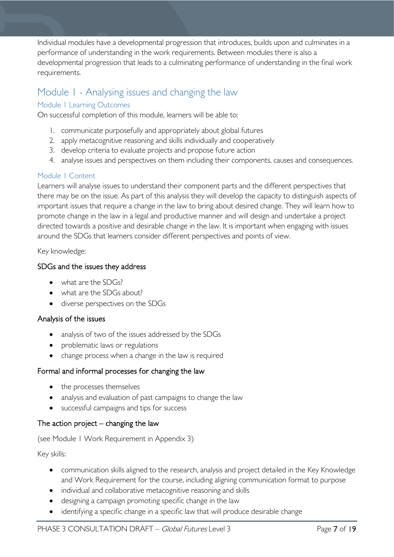Individual modules have a developmental progression that introduces, builds upon and culminates in a performance of understanding in the work requirements. Between modules there is also a developmental progression that leads to a culminating performance of understanding in the final work requirements.

## <span id="page-6-0"></span>Module 1 - Analysing issues and changing the law

#### <span id="page-6-1"></span>Module 1 Learning Outcomes

On successful completion of this module, learners will be able to:

- 1. communicate purposefully and appropriately about global futures
- 2. apply metacognitive reasoning and skills individually and cooperatively
- 3. develop criteria to evaluate projects and propose future action
- 4. analyse issues and perspectives on them including their components, causes and consequences.

#### <span id="page-6-2"></span>Module 1 Content

Learners will analyse issues to understand their component parts and the different perspectives that there may be on the issue. As part of this analysis they will develop the capacity to distinguish aspects of important issues that require a change in the law to bring about desired change. They will learn how to promote change in the law in a legal and productive manner and will design and undertake a project directed towards a positive and desirable change in the law. It is important when engaging with issues around the SDGs that learners consider different perspectives and points of view.

#### Key knowledge:

#### SDGs and the issues they address

- what are the SDGs?
- what are the SDGs about?
- diverse perspectives on the SDGs

#### Analysis of the issues

- analysis of two of the issues addressed by the SDGs
- problematic laws or regulations
- change process when a change in the law is required

#### Formal and informal processes for changing the law

- the processes themselves
- analysis and evaluation of past campaigns to change the law
- successful campaigns and tips for success

#### The action project  $-$  changing the law

#### (see Module 1 Work Requirement in Appendix 3)

#### Key skills:

- communication skills aligned to the research, analysis and project detailed in the Key Knowledge and Work Requirement for the course, including aligning communication format to purpose
- individual and collaborative metacognitive reasoning and skills
- designing a campaign promoting specific change in the law
- identifying a specific change in a specific law that will produce desirable change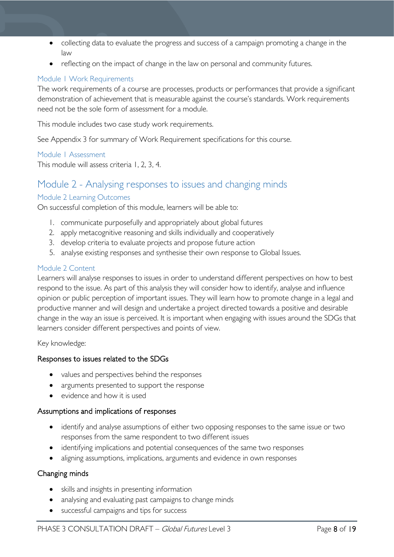- collecting data to evaluate the progress and success of a campaign promoting a change in the law
- reflecting on the impact of change in the law on personal and community futures.

#### <span id="page-7-0"></span>Module 1 Work Requirements

The work requirements of a course are processes, products or performances that provide a significant demonstration of achievement that is measurable against the course's standards. Work requirements need not be the sole form of assessment for a module.

This module includes two case study work requirements.

See Appendix 3 for summary of Work Requirement specifications for this course.

#### <span id="page-7-1"></span>Module 1 Assessment

This module will assess criteria 1, 2, 3, 4.

### <span id="page-7-2"></span>Module 2 - Analysing responses to issues and changing minds

#### <span id="page-7-3"></span>Module 2 Learning Outcomes

On successful completion of this module, learners will be able to:

- 1. communicate purposefully and appropriately about global futures
- 2. apply metacognitive reasoning and skills individually and cooperatively
- 3. develop criteria to evaluate projects and propose future action
- 5. analyse existing responses and synthesise their own response to Global Issues.

#### <span id="page-7-4"></span>Module 2 Content

Learners will analyse responses to issues in order to understand different perspectives on how to best respond to the issue. As part of this analysis they will consider how to identify, analyse and influence opinion or public perception of important issues. They will learn how to promote change in a legal and productive manner and will design and undertake a project directed towards a positive and desirable change in the way an issue is perceived. It is important when engaging with issues around the SDGs that learners consider different perspectives and points of view.

#### Key knowledge:

#### Responses to issues related to the SDGs

- values and perspectives behind the responses
- arguments presented to support the response
- evidence and how it is used

#### Assumptions and implications of responses

- identify and analyse assumptions of either two opposing responses to the same issue or two responses from the same respondent to two different issues
- identifying implications and potential consequences of the same two responses
- aligning assumptions, implications, arguments and evidence in own responses

#### Changing minds

- skills and insights in presenting information
- analysing and evaluating past campaigns to change minds
- successful campaigns and tips for success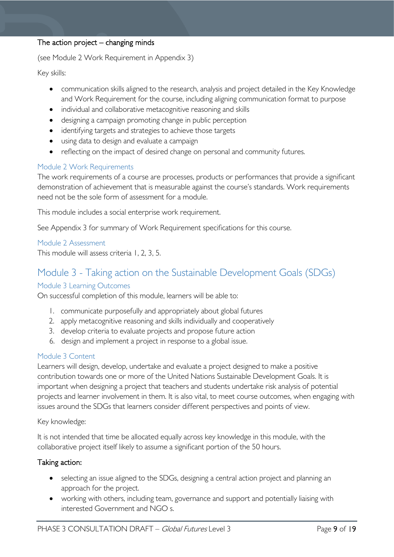#### The action project  $-$  changing minds

(see Module 2 Work Requirement in Appendix 3)

Key skills:

- communication skills aligned to the research, analysis and project detailed in the Key Knowledge and Work Requirement for the course, including aligning communication format to purpose
- individual and collaborative metacognitive reasoning and skills
- designing a campaign promoting change in public perception
- identifying targets and strategies to achieve those targets
- using data to design and evaluate a campaign
- reflecting on the impact of desired change on personal and community futures.

#### <span id="page-8-0"></span>Module 2 Work Requirements

The work requirements of a course are processes, products or performances that provide a significant demonstration of achievement that is measurable against the course's standards. Work requirements need not be the sole form of assessment for a module.

This module includes a social enterprise work requirement.

See Appendix 3 for summary of Work Requirement specifications for this course.

<span id="page-8-1"></span>Module 2 Assessment This module will assess criteria 1, 2, 3, 5.

# <span id="page-8-2"></span>Module 3 - Taking action on the Sustainable Development Goals (SDGs)

### <span id="page-8-3"></span>Module 3 Learning Outcomes

On successful completion of this module, learners will be able to:

- 1. communicate purposefully and appropriately about global futures
- 2. apply metacognitive reasoning and skills individually and cooperatively
- 3. develop criteria to evaluate projects and propose future action
- 6. design and implement a project in response to a global issue.

#### <span id="page-8-4"></span>Module 3 Content

Learners will design, develop, undertake and evaluate a project designed to make a positive contribution towards one or more of the United Nations Sustainable Development Goals. It is important when designing a project that teachers and students undertake risk analysis of potential projects and learner involvement in them. It is also vital, to meet course outcomes, when engaging with issues around the SDGs that learners consider different perspectives and points of view.

#### Key knowledge:

It is not intended that time be allocated equally across key knowledge in this module, with the collaborative project itself likely to assume a significant portion of the 50 hours.

#### Taking action:

- selecting an issue aligned to the SDGs, designing a central action project and planning an approach for the project.
- working with others, including team, governance and support and potentially liaising with interested Government and NGO s.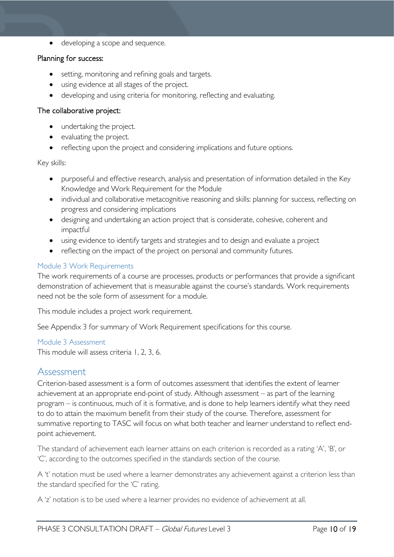• developing a scope and sequence.

#### Planning for success:

- setting, monitoring and refining goals and targets.
- using evidence at all stages of the project.
- developing and using criteria for monitoring, reflecting and evaluating.

#### The collaborative project:

- undertaking the project.
- evaluating the project.
- reflecting upon the project and considering implications and future options.

#### Key skills:

- purposeful and effective research, analysis and presentation of information detailed in the Key Knowledge and Work Requirement for the Module
- individual and collaborative metacognitive reasoning and skills: planning for success, reflecting on progress and considering implications
- designing and undertaking an action project that is considerate, cohesive, coherent and impactful
- using evidence to identify targets and strategies and to design and evaluate a project
- reflecting on the impact of the project on personal and community futures.

#### <span id="page-9-0"></span>Module 3 Work Requirements

The work requirements of a course are processes, products or performances that provide a significant demonstration of achievement that is measurable against the course's standards. Work requirements need not be the sole form of assessment for a module.

This module includes a project work requirement.

See Appendix 3 for summary of Work Requirement specifications for this course.

#### <span id="page-9-1"></span>Module 3 Assessment

This module will assess criteria 1, 2, 3, 6.

#### <span id="page-9-2"></span>Assessment

Criterion-based assessment is a form of outcomes assessment that identifies the extent of learner achievement at an appropriate end-point of study. Although assessment – as part of the learning program – is continuous, much of it is formative, and is done to help learners identify what they need to do to attain the maximum benefit from their study of the course. Therefore, assessment for summative reporting to TASC will focus on what both teacher and learner understand to reflect endpoint achievement.

The standard of achievement each learner attains on each criterion is recorded as a rating 'A', 'B', or 'C', according to the outcomes specified in the standards section of the course.

A 't' notation must be used where a learner demonstrates any achievement against a criterion less than the standard specified for the 'C' rating.

A 'z' notation is to be used where a learner provides no evidence of achievement at all.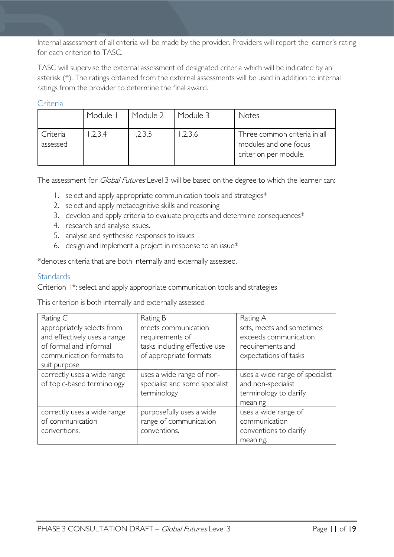Internal assessment of all criteria will be made by the provider. Providers will report the learner's rating for each criterion to TASC.

TASC will supervise the external assessment of designated criteria which will be indicated by an asterisk (\*). The ratings obtained from the external assessments will be used in addition to internal ratings from the provider to determine the final award.

<span id="page-10-0"></span>Criteria

|                      | Module I | Module 2 | Module 3 | Notes                                                                          |
|----------------------|----------|----------|----------|--------------------------------------------------------------------------------|
| Criteria<br>assessed | 2,3,4    | ,2,3,5   | 1,2,3,6  | Three common criteria in all<br>modules and one focus<br>criterion per module. |

The assessment for *Global Futures* Level 3 will be based on the degree to which the learner can:

- 1. select and apply appropriate communication tools and strategies\*
- 2. select and apply metacognitive skills and reasoning
- 3. develop and apply criteria to evaluate projects and determine consequences\*
- 4. research and analyse issues.
- 5. analyse and synthesise responses to issues
- 6. design and implement a project in response to an issue\*

\*denotes criteria that are both internally and externally assessed.

#### <span id="page-10-1"></span>**Standards**

Criterion 1\*: select and apply appropriate communication tools and strategies

This criterion is both internally and externally assessed

| Rating C                                                                                                                         | Rating B                                                                                          | Rating A                                                                                        |
|----------------------------------------------------------------------------------------------------------------------------------|---------------------------------------------------------------------------------------------------|-------------------------------------------------------------------------------------------------|
| appropriately selects from<br>and effectively uses a range<br>of formal and informal<br>communication formats to<br>suit purpose | meets communication<br>requirements of<br>tasks including effective use<br>of appropriate formats | sets, meets and sometimes<br>exceeds communication<br>requirements and<br>expectations of tasks |
| correctly uses a wide range<br>of topic-based terminology                                                                        | uses a wide range of non-<br>specialist and some specialist<br>terminology                        | uses a wide range of specialist<br>and non-specialist<br>terminology to clarify<br>meaning      |
| correctly uses a wide range<br>of communication<br>conventions.                                                                  | purposefully uses a wide<br>range of communication<br>conventions.                                | uses a wide range of<br>communication<br>conventions to clarify<br>meaning.                     |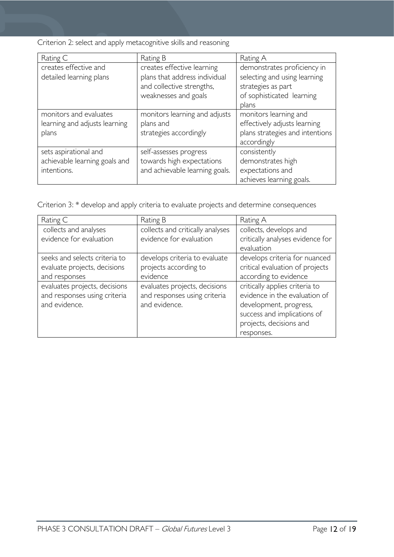Criterion 2: select and apply metacognitive skills and reasoning

| Rating C                                                              | Rating B                                                                                                         | Rating A                                                                                                                |
|-----------------------------------------------------------------------|------------------------------------------------------------------------------------------------------------------|-------------------------------------------------------------------------------------------------------------------------|
| creates effective and<br>detailed learning plans                      | creates effective learning<br>plans that address individual<br>and collective strengths,<br>weaknesses and goals | demonstrates proficiency in<br>selecting and using learning<br>strategies as part<br>of sophisticated learning<br>plans |
| monitors and evaluates<br>learning and adjusts learning<br>plans      | monitors learning and adjusts<br>plans and<br>strategies accordingly                                             | monitors learning and<br>effectively adjusts learning<br>plans strategies and intentions<br>accordingly                 |
| sets aspirational and<br>achievable learning goals and<br>intentions. | self-assesses progress<br>towards high expectations<br>and achievable learning goals.                            | consistently<br>demonstrates high<br>expectations and<br>achieves learning goals.                                       |

Criterion 3: \* develop and apply criteria to evaluate projects and determine consequences

| Rating C                      | Rating B                         | Rating A                         |
|-------------------------------|----------------------------------|----------------------------------|
| collects and analyses         | collects and critically analyses | collects, develops and           |
| evidence for evaluation       | evidence for evaluation          | critically analyses evidence for |
|                               |                                  | evaluation                       |
| seeks and selects criteria to | develops criteria to evaluate    | develops criteria for nuanced    |
| evaluate projects, decisions  | projects according to            | critical evaluation of projects  |
| and responses                 | evidence                         | according to evidence            |
| evaluates projects, decisions | evaluates projects, decisions    | critically applies criteria to   |
| and responses using criteria  | and responses using criteria     | evidence in the evaluation of    |
| and evidence.                 | and evidence.                    | development, progress,           |
|                               |                                  | success and implications of      |
|                               |                                  | projects, decisions and          |
|                               |                                  | responses.                       |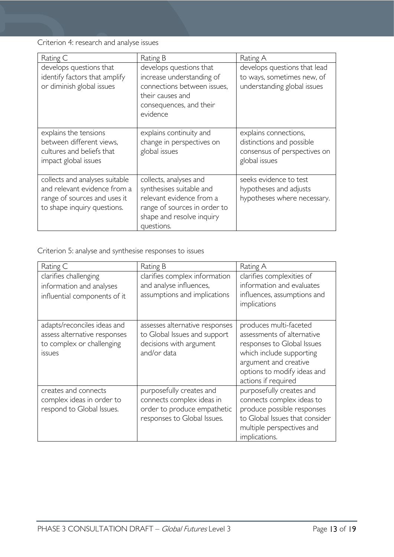Criterion 4: research and analyse issues

| Rating C                                                                                                                      | Rating B                                                                                                                                                  | Rating A                                                                                            |
|-------------------------------------------------------------------------------------------------------------------------------|-----------------------------------------------------------------------------------------------------------------------------------------------------------|-----------------------------------------------------------------------------------------------------|
| develops questions that<br>identify factors that amplify<br>or diminish global issues                                         | develops questions that<br>increase understanding of<br>connections between issues,<br>their causes and<br>consequences, and their<br>evidence            | develops questions that lead<br>to ways, sometimes new, of<br>understanding global issues           |
| explains the tensions<br>between different views,<br>cultures and beliefs that<br>impact global issues                        | explains continuity and<br>change in perspectives on<br>global issues                                                                                     | explains connections,<br>distinctions and possible<br>consensus of perspectives on<br>global issues |
| collects and analyses suitable<br>and relevant evidence from a<br>range of sources and uses it<br>to shape inquiry questions. | collects, analyses and<br>synthesises suitable and<br>relevant evidence from a<br>range of sources in order to<br>shape and resolve inquiry<br>questions. | seeks evidence to test<br>hypotheses and adjusts<br>hypotheses where necessary.                     |

Criterion 5: analyse and synthesise responses to issues

| Rating C                                                                                                  | Rating B                                                                                                            | Rating A                                                                                                                                                                                      |
|-----------------------------------------------------------------------------------------------------------|---------------------------------------------------------------------------------------------------------------------|-----------------------------------------------------------------------------------------------------------------------------------------------------------------------------------------------|
| clarifies challenging<br>information and analyses<br>influential components of it                         | clarifies complex information<br>and analyse influences,<br>assumptions and implications                            | clarifies complexities of<br>information and evaluates<br>influences, assumptions and<br>implications                                                                                         |
| adapts/reconciles ideas and<br>assess alternative responses<br>to complex or challenging<br><i>issues</i> | assesses alternative responses<br>to Global Issues and support<br>decisions with argument<br>and/or data            | produces multi-faceted<br>assessments of alternative<br>responses to Global Issues<br>which include supporting<br>argument and creative<br>options to modify ideas and<br>actions if required |
| creates and connects<br>complex ideas in order to<br>respond to Global Issues.                            | purposefully creates and<br>connects complex ideas in<br>order to produce empathetic<br>responses to Global Issues. | purposefully creates and<br>connects complex ideas to<br>produce possible responses<br>to Global Issues that consider<br>multiple perspectives and<br>implications.                           |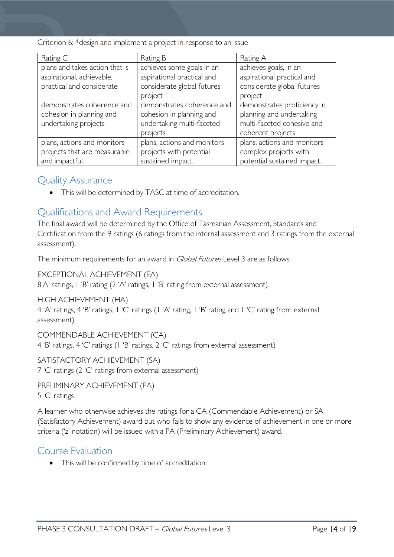Criterion 6: \*design and implement a project in response to an issue

| Rating C                                                                                 | Rating B                                                                                        | Rating A                                                                                                   |  |
|------------------------------------------------------------------------------------------|-------------------------------------------------------------------------------------------------|------------------------------------------------------------------------------------------------------------|--|
| plans and takes action that is<br>aspirational, achievable,<br>practical and considerate | achieves some goals in an<br>aspirational practical and<br>considerate global futures           | achieves goals, in an<br>aspirational practical and<br>considerate global futures                          |  |
|                                                                                          | project                                                                                         | project                                                                                                    |  |
| demonstrates coherence and<br>cohesion in planning and<br>undertaking projects           | demonstrates coherence and<br>cohesion in planning and<br>undertaking multi-faceted<br>projects | demonstrates proficiency in<br>planning and undertaking<br>multi-faceted cohesive and<br>coherent projects |  |
| plans, actions and monitors<br>projects that are measurable<br>and impactful.            | plans, actions and monitors<br>projects with potential<br>sustained impact.                     | plans, actions and monitors<br>complex projects with<br>potential sustained impact.                        |  |

### <span id="page-13-0"></span>Quality Assurance

• This will be determined by TASC at time of accreditation.

# <span id="page-13-1"></span>Qualifications and Award Requirements

The final award will be determined by the Office of Tasmanian Assessment, Standards and Certification from the 9 ratings (6 ratings from the internal assessment and 3 ratings from the external assessment).

The minimum requirements for an award in *Global Futures* Level 3 are as follows:

EXCEPTIONAL ACHIEVEMENT (EA)

8'A' ratings, 1 'B' rating (2 'A' ratings, 1 'B' rating from external assessment)

#### HIGH ACHIEVEMENT (HA)

4 'A' ratings, 4 'B' ratings, 1 'C' ratings (1 'A' rating, 1 'B' rating and 1 'C' rating from external assessment)

#### COMMENDABLE ACHIEVEMENT (CA)

4 'B' ratings, 4 'C' ratings (1 'B' ratings, 2 'C' ratings from external assessment)

# SATISFACTORY ACHIEVEMENT (SA)

7 'C' ratings (2 'C' ratings from external assessment)

#### PRELIMINARY ACHIEVEMENT (PA) 5 'C' ratings

A learner who otherwise achieves the ratings for a CA (Commendable Achievement) or SA (Satisfactory Achievement) award but who fails to show any evidence of achievement in one or more criteria ('z' notation) will be issued with a PA (Preliminary Achievement) award.

### <span id="page-13-2"></span>Course Evaluation

• This will be confirmed by time of accreditation.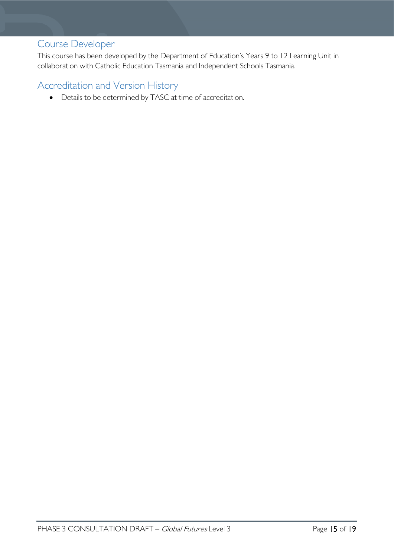# <span id="page-14-0"></span>Course Developer

This course has been developed by the Department of Education's Years 9 to 12 Learning Unit in collaboration with Catholic Education Tasmania and Independent Schools Tasmania.

### <span id="page-14-1"></span>Accreditation and Version History

• Details to be determined by TASC at time of accreditation.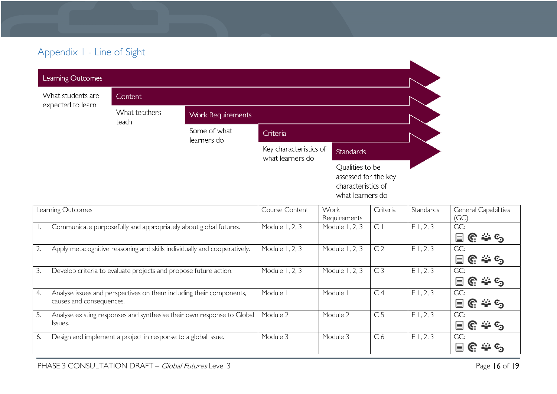# Appendix 1 - Line of Sight

| What students are | Content                |                             |                                            |                                                                                   |
|-------------------|------------------------|-----------------------------|--------------------------------------------|-----------------------------------------------------------------------------------|
| expected to learn | What teachers<br>teach | <b>Work Requirements</b>    |                                            |                                                                                   |
|                   |                        | Some of what<br>learners do | Criteria                                   |                                                                                   |
|                   |                        |                             | Key characteristics of<br>what learners do | <b>Standards</b>                                                                  |
|                   |                        |                             |                                            | Qualities to be<br>assessed for the key<br>characteristics of<br>what learners do |

<span id="page-15-0"></span>

|    | Learning Outcomes                                                                               | Course Content | Work<br>Requirements | Criteria       | Standards | General Capabilities<br>(GC)                                                                                                              |
|----|-------------------------------------------------------------------------------------------------|----------------|----------------------|----------------|-----------|-------------------------------------------------------------------------------------------------------------------------------------------|
|    | Communicate purposefully and appropriately about global futures.                                | Module 1, 2, 3 | Module 1, 2, 3       | $\subset$      | E1, 2, 3  | GC:<br>$\textcolor{red}{\blacksquare}$ $\textcolor{red}{\mathbb{C}}$ : $\textcolor{red}{\Leftrightarrow}$ $\textcolor{red}{\mathbb{C}}$   |
|    | Apply metacognitive reasoning and skills individually and cooperatively.                        | Module 1, 2, 3 | Module 1, 2, 3       | C <sub>2</sub> | E1, 2, 3  | GC:<br>$\textbf{e} \in \textbf{e}$                                                                                                        |
| 3. | Develop criteria to evaluate projects and propose future action.                                | Module 1, 2, 3 | Module 1, 2, 3       | C <sub>3</sub> | E1, 2, 3  | GC:<br>ြူ ဇြူ: <del>ကို</del> ၆၅                                                                                                          |
| 4. | Analyse issues and perspectives on them including their components,<br>causes and consequences. | Module I       | Module I             | C <sub>4</sub> | E1, 2, 3  | GC:<br>$\textcolor{red}{\blacksquare}$ $\textcolor{red}{\mathbb{C}}$ : $\textcolor{red}{\Leftrightarrow}$ $\textcolor{red}{\mathbb{C}}$   |
| 5. | Analyse existing responses and synthesise their own response to Global<br>Issues.               | Module 2       | Module 2             | C <sub>5</sub> | E1, 2, 3  | GC:<br>$\textcolor{red}{\blacksquare}$ $\textcolor{red}{\mathbb{C}}$ : $\textcolor{red}{\Leftrightarrow}$ $\textcolor{red}{\mathbb{C}}_3$ |
| 6. | Design and implement a project in response to a global issue.                                   | Module 3       | Module 3             | C <sub>6</sub> | E1, 2, 3  | GC:<br>$\equiv$ G $\cong$ G                                                                                                               |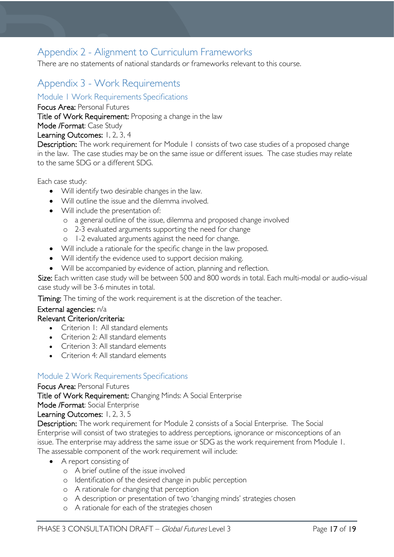# <span id="page-16-0"></span>Appendix 2 - Alignment to Curriculum Frameworks

There are no statements of national standards or frameworks relevant to this course.

# <span id="page-16-1"></span>Appendix 3 - Work Requirements

<span id="page-16-2"></span>Module 1 Work Requirements Specifications

Focus Area: Personal Futures

Title of Work Requirement: Proposing a change in the law

Mode /Format: Case Study

#### Learning Outcomes: 1, 2, 3, 4

Description: The work requirement for Module 1 consists of two case studies of a proposed change in the law. The case studies may be on the same issue or different issues. The case studies may relate to the same SDG or a different SDG.

Each case study:

- Will identify two desirable changes in the law.
- Will outline the issue and the dilemma involved.
- Will include the presentation of:
	- o a general outline of the issue, dilemma and proposed change involved
	- o 2-3 evaluated arguments supporting the need for change
	- o 1-2 evaluated arguments against the need for change.
- Will include a rationale for the specific change in the law proposed.
- Will identify the evidence used to support decision making.
- Will be accompanied by evidence of action, planning and reflection.

Size: Each written case study will be between 500 and 800 words in total. Each multi-modal or audio-visual case study will be 3-6 minutes in total.

**Timing:** The timing of the work requirement is at the discretion of the teacher.

#### External agencies: n/a

#### Relevant Criterion/criteria:

- Criterion I: All standard elements
- Criterion 2: All standard elements
- Criterion 3: All standard elements
- Criterion 4: All standard elements

#### <span id="page-16-3"></span>Module 2 Work Requirements Specifications

#### Focus Area: Personal Futures

Title of Work Requirement: Changing Minds: A Social Enterprise

Mode /Format: Social Enterprise

Learning Outcomes: 1, 2, 3, 5

Description: The work requirement for Module 2 consists of a Social Enterprise. The Social Enterprise will consist of two strategies to address perceptions, ignorance or misconceptions of an issue. The enterprise may address the same issue or SDG as the work requirement from Module 1. The assessable component of the work requirement will include:

- A report consisting of
	- o A brief outline of the issue involved
	- o Identification of the desired change in public perception
	- o A rationale for changing that perception
	- o A description or presentation of two 'changing minds' strategies chosen
	- o A rationale for each of the strategies chosen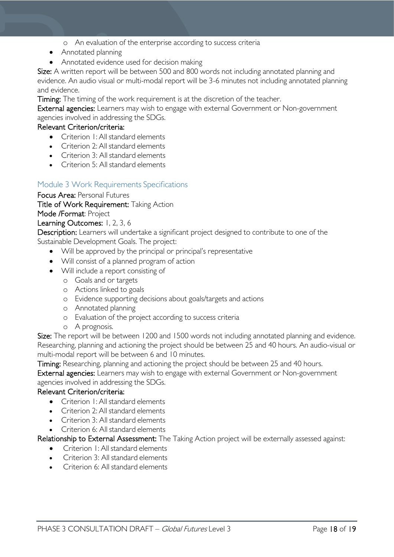- o An evaluation of the enterprise according to success criteria
- Annotated planning
- Annotated evidence used for decision making

Size: A written report will be between 500 and 800 words not including annotated planning and evidence. An audio visual or multi-modal report will be 3-6 minutes not including annotated planning and evidence.

Timing: The timing of the work requirement is at the discretion of the teacher.

External agencies: Learners may wish to engage with external Government or Non-government agencies involved in addressing the SDGs.

#### Relevant Criterion/criteria:

- Criterion 1: All standard elements
- Criterion 2: All standard elements
- Criterion 3: All standard elements
- Criterion 5: All standard elements

#### <span id="page-17-0"></span>Module 3 Work Requirements Specifications

Focus Area: Personal Futures

Title of Work Requirement: Taking Action

# Mode /Format: Project

Learning Outcomes: 1, 2, 3, 6

Description: Learners will undertake a significant project designed to contribute to one of the Sustainable Development Goals. The project:

- Will be approved by the principal or principal's representative
- Will consist of a planned program of action
- Will include a report consisting of
	- o Goals and or targets
	- o Actions linked to goals
	- o Evidence supporting decisions about goals/targets and actions
	- o Annotated planning
	- o Evaluation of the project according to success criteria
	- o A prognosis.

Size: The report will be between 1200 and 1500 words not including annotated planning and evidence. Researching, planning and actioning the project should be between 25 and 40 hours. An audio-visual or multi-modal report will be between 6 and 10 minutes.

Timing: Researching, planning and actioning the project should be between 25 and 40 hours.

External agencies: Learners may wish to engage with external Government or Non-government agencies involved in addressing the SDGs.

#### Relevant Criterion/criteria:

- Criterion 1: All standard elements
- Criterion 2: All standard elements
- Criterion 3: All standard elements
- Criterion 6: All standard elements

#### Relationship to External Assessment: The Taking Action project will be externally assessed against:

- Criterion 1: All standard elements
- Criterion 3: All standard elements
- Criterion 6: All standard elements